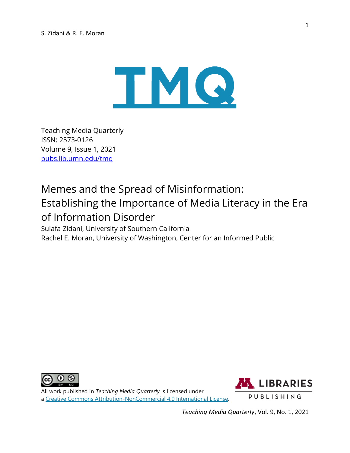

Teaching Media Quarterly ISSN: 2573-0126 Volume 9, Issue 1, 2021 [pubs.lib.umn.edu/tmq](https://pubs.lib.umn.edu/index.php/tmq)

Memes and the Spread of Misinformation:

# Establishing the Importance of Media Literacy in the Era of Information Disorder

Sulafa Zidani, University of Southern California Rachel E. Moran, University of Washington, Center for an Informed Public



All work published in *Teaching Media Quarterly* is licensed under a [Creative Commons Attribution-NonCommercial 4.0 International License.](http://creativecommons.org/licenses/by-nc/4.0/)

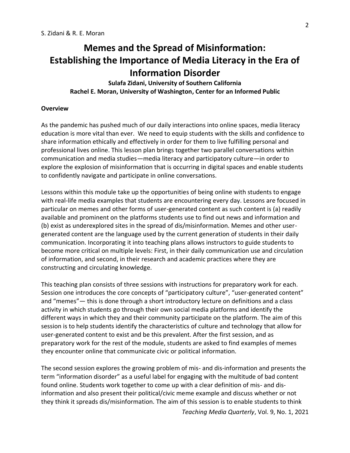# **Memes and the Spread of Misinformation: Establishing the Importance of Media Literacy in the Era of Information Disorder**

**Sulafa Zidani, University of Southern California Rachel E. Moran, University of Washington, Center for an Informed Public**

#### **Overview**

As the pandemic has pushed much of our daily interactions into online spaces, media literacy education is more vital than ever. We need to equip students with the skills and confidence to share information ethically and effectively in order for them to live fulfilling personal and professional lives online. This lesson plan brings together two parallel conversations within communication and media studies—media literacy and participatory culture—in order to explore the explosion of misinformation that is occurring in digital spaces and enable students to confidently navigate and participate in online conversations.

Lessons within this module take up the opportunities of being online with students to engage with real-life media examples that students are encountering every day. Lessons are focused in particular on memes and other forms of user-generated content as such content is (a) readily available and prominent on the platforms students use to find out news and information and (b) exist as underexplored sites in the spread of dis/misinformation. Memes and other usergenerated content are the language used by the current generation of students in their daily communication. Incorporating it into teaching plans allows instructors to guide students to become more critical on multiple levels: First, in their daily communication use and circulation of information, and second, in their research and academic practices where they are constructing and circulating knowledge.

This teaching plan consists of three sessions with instructions for preparatory work for each. Session one introduces the core concepts of "participatory culture", "user-generated content" and "memes"— this is done through a short introductory lecture on definitions and a class activity in which students go through their own social media platforms and identify the different ways in which they and their community participate on the platform. The aim of this session is to help students identify the characteristics of culture and technology that allow for user-generated content to exist and be this prevalent. After the first session, and as preparatory work for the rest of the module, students are asked to find examples of memes they encounter online that communicate civic or political information.

The second session explores the growing problem of mis- and dis-information and presents the term "information disorder" as a useful label for engaging with the multitude of bad content found online. Students work together to come up with a clear definition of mis- and disinformation and also present their political/civic meme example and discuss whether or not they think it spreads dis/misinformation. The aim of this session is to enable students to think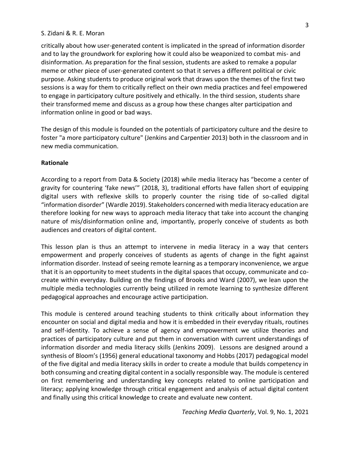critically about how user-generated content is implicated in the spread of information disorder and to lay the groundwork for exploring how it could also be weaponized to combat mis- and disinformation. As preparation for the final session, students are asked to remake a popular meme or other piece of user-generated content so that it serves a different political or civic purpose. Asking students to produce original work that draws upon the themes of the first two sessions is a way for them to critically reflect on their own media practices and feel empowered to engage in participatory culture positively and ethically. In the third session, students share their transformed meme and discuss as a group how these changes alter participation and information online in good or bad ways.

The design of this module is founded on the potentials of participatory culture and the desire to foster "a more participatory culture" (Jenkins and Carpentier 2013) both in the classroom and in new media communication.

#### **Rationale**

According to a report from Data & Society (2018) while media literacy has "become a center of gravity for countering 'fake news'" (2018, 3), traditional efforts have fallen short of equipping digital users with reflexive skills to properly counter the rising tide of so-called digital "information disorder" (Wardle 2019). Stakeholders concerned with media literacy education are therefore looking for new ways to approach media literacy that take into account the changing nature of mis/disinformation online and, importantly, properly conceive of students as both audiences and creators of digital content.

This lesson plan is thus an attempt to intervene in media literacy in a way that centers empowerment and properly conceives of students as agents of change in the fight against information disorder. Instead of seeing remote learning as a temporary inconvenience, we argue that it is an opportunity to meet students in the digital spaces that occupy, communicate and cocreate within everyday. Building on the findings of Brooks and Ward (2007), we lean upon the multiple media technologies currently being utilized in remote learning to synthesize different pedagogical approaches and encourage active participation.

This module is centered around teaching students to think critically about information they encounter on social and digital media and how it is embedded in their everyday rituals, routines and self-identity. To achieve a sense of agency and empowerment we utilize theories and practices of participatory culture and put them in conversation with current understandings of information disorder and media literacy skills (Jenkins 2009). Lessons are designed around a synthesis of Bloom's (1956) general educational taxonomy and Hobbs (2017) pedagogical model of the five digital and media literacy skills in order to create a module that builds competency in both consuming and creating digital content in a socially responsible way. The module is centered on first remembering and understanding key concepts related to online participation and literacy; applying knowledge through critical engagement and analysis of actual digital content and finally using this critical knowledge to create and evaluate new content.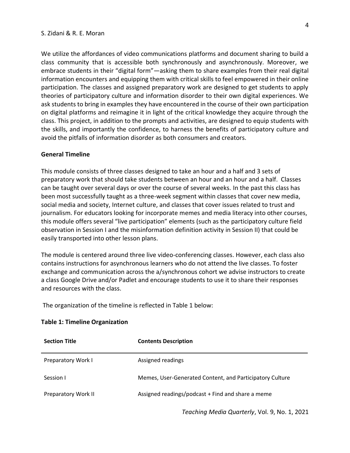We utilize the affordances of video communications platforms and document sharing to build a class community that is accessible both synchronously and asynchronously. Moreover, we embrace students in their "digital form"—asking them to share examples from their real digital information encounters and equipping them with critical skills to feel empowered in their online participation. The classes and assigned preparatory work are designed to get students to apply theories of participatory culture and information disorder to their own digital experiences. We ask students to bring in examples they have encountered in the course of their own participation on digital platforms and reimagine it in light of the critical knowledge they acquire through the class. This project, in addition to the prompts and activities, are designed to equip students with the skills, and importantly the confidence, to harness the benefits of participatory culture and avoid the pitfalls of information disorder as both consumers and creators.

#### **General Timeline**

This module consists of three classes designed to take an hour and a half and 3 sets of preparatory work that should take students between an hour and an hour and a half. Classes can be taught over several days or over the course of several weeks. In the past this class has been most successfully taught as a three-week segment within classes that cover new media, social media and society, Internet culture, and classes that cover issues related to trust and journalism. For educators looking for incorporate memes and media literacy into other courses, this module offers several "live participation" elements (such as the participatory culture field observation in Session I and the misinformation definition activity in Session II) that could be easily transported into other lesson plans.

The module is centered around three live video-conferencing classes. However, each class also contains instructions for asynchronous learners who do not attend the live classes. To foster exchange and communication across the a/synchronous cohort we advise instructors to create a class Google Drive and/or Padlet and encourage students to use it to share their responses and resources with the class.

The organization of the timeline is reflected in Table 1 below:

| <b>Section Title</b>       | <b>Contents Description</b>                              |
|----------------------------|----------------------------------------------------------|
| Preparatory Work I         | Assigned readings                                        |
| Session I                  | Memes, User-Generated Content, and Participatory Culture |
| <b>Preparatory Work II</b> | Assigned readings/podcast + Find and share a meme        |

#### **Table 1: Timeline Organization**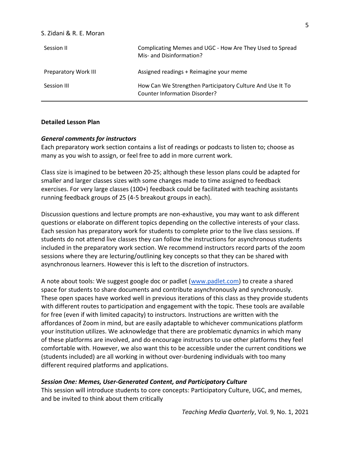| Session II           | Complicating Memes and UGC - How Are They Used to Spread<br>Mis- and Disinformation?       |
|----------------------|--------------------------------------------------------------------------------------------|
| Preparatory Work III | Assigned readings + Reimagine your meme                                                    |
| Session III          | How Can We Strengthen Participatory Culture And Use It To<br>Counter Information Disorder? |

#### **Detailed Lesson Plan**

#### *General comments for instructors*

Each preparatory work section contains a list of readings or podcasts to listen to; choose as many as you wish to assign, or feel free to add in more current work.

Class size is imagined to be between 20-25; although these lesson plans could be adapted for smaller and larger classes sizes with some changes made to time assigned to feedback exercises. For very large classes (100+) feedback could be facilitated with teaching assistants running feedback groups of 25 (4-5 breakout groups in each).

Discussion questions and lecture prompts are non-exhaustive, you may want to ask different questions or elaborate on different topics depending on the collective interests of your class. Each session has preparatory work for students to complete prior to the live class sessions. If students do not attend live classes they can follow the instructions for asynchronous students included in the preparatory work section. We recommend instructors record parts of the zoom sessions where they are lecturing/outlining key concepts so that they can be shared with asynchronous learners. However this is left to the discretion of instructors.

A note about tools: We suggest google doc or padlet [\(www.padlet.com\)](http://www.padlet.com/) to create a shared space for students to share documents and contribute asynchronously and synchronously. These open spaces have worked well in previous iterations of this class as they provide students with different routes to participation and engagement with the topic. These tools are available for free (even if with limited capacity) to instructors. Instructions are written with the affordances of Zoom in mind, but are easily adaptable to whichever communications platform your institution utilizes. We acknowledge that there are problematic dynamics in which many of these platforms are involved, and do encourage instructors to use other platforms they feel comfortable with. However, we also want this to be accessible under the current conditions we (students included) are all working in without over-burdening individuals with too many different required platforms and applications.

## *Session One: Memes, User-Generated Content, and Participatory Culture*

This session will introduce students to core concepts: Participatory Culture, UGC, and memes, and be invited to think about them critically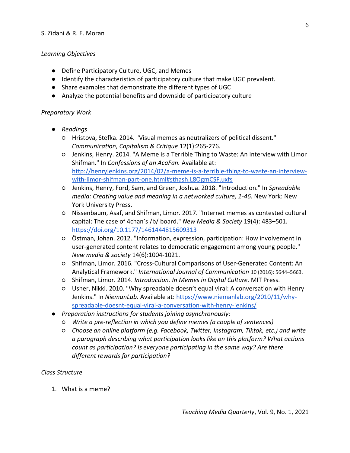#### *Learning Objectives*

- Define Participatory Culture, UGC, and Memes
- Identify the characteristics of participatory culture that make UGC prevalent.
- Share examples that demonstrate the different types of UGC
- Analyze the potential benefits and downside of participatory culture

#### *Preparatory Work*

- *Readings*
	- Hristova, Stefka. 2014. "Visual memes as neutralizers of political dissent." *Communication, Capitalism & Critique* 12(1):265-276.
	- Jenkins, Henry. 2014. "A Meme is a Terrible Thing to Waste: An Interview with Limor Shifman." In *Confessions of an AcaFan.* Available at[:](http://henryjenkins.org/2014/02/a-meme-is-a-terrible-thing-to-waste-an-interview-with-limor-shifman-part-one.html#sthash.L8OgmCSF.uxfs)  [http://henryjenkins.org/2014/02/a-meme-is-a-terrible-thing-to-waste-an-interview](http://henryjenkins.org/2014/02/a-meme-is-a-terrible-thing-to-waste-an-interview-with-limor-shifman-part-one.html#sthash.L8OgmCSF.uxfs)[with-limor-shifman-part-one.html#sthash.L8OgmCSF.uxfs](http://henryjenkins.org/2014/02/a-meme-is-a-terrible-thing-to-waste-an-interview-with-limor-shifman-part-one.html#sthash.L8OgmCSF.uxfs)
	- Jenkins, Henry, Ford, Sam, and Green, Joshua. 2018. "Introduction." In *Spreadable media: Creating value and meaning in a networked culture, 1-46.* New York: New York University Press.
	- Nissenbaum, Asaf, and Shifman, Limor. 2017. "Internet memes as contested cultural capital: The case of 4chan's /b/ board." *New Media & Society* 19(4): 483–501[.](https://doi.org/10.1177/1461444815609313) <https://doi.org/10.1177/1461444815609313>
	- Östman, Johan. 2012. "Information, expression, participation: How involvement in user-generated content relates to democratic engagement among young people." *New media & society* 14(6):1004-1021.
	- Shifman, Limor. 2016. "Cross-Cultural Comparisons of User-Generated Content: An Analytical Framework." *International Journal of Communication* 10 (2016): 5644–5663.
	- Shifman, Limor. 2014. *Introduction. In Memes in Digital Culture*. MIT Press.
	- Usher, Nikki. 2010. "Why spreadable doesn't equal viral: A conversation with Henry Jenkins." In *NiemanLab.* Available at[:](https://www.niemanlab.org/2010/11/why-spreadable-doesnt-equal-viral-a-conversation-with-henry-jenkins/) [https://www.niemanlab.org/2010/11/why](https://www.niemanlab.org/2010/11/why-spreadable-doesnt-equal-viral-a-conversation-with-henry-jenkins/)[spreadable-doesnt-equal-viral-a-conversation-with-henry-jenkins/](https://www.niemanlab.org/2010/11/why-spreadable-doesnt-equal-viral-a-conversation-with-henry-jenkins/)
- *Preparation instructions for students joining asynchronously:*
	- *Write a pre-reflection in which you define memes (a couple of sentences)*
	- *Choose an online platform (e.g. Facebook, Twitter, Instagram, Tiktok, etc.) and write a paragraph describing what participation looks like on this platform? What actions count as participation? Is everyone participating in the same way? Are there different rewards for participation?*

## *Class Structure*

1. What is a meme?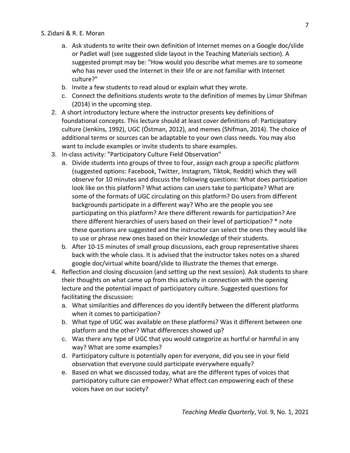- a. Ask students to write their own definition of Internet memes on a Google doc/slide or Padlet wall (see suggested slide layout in the Teaching Materials section). A suggested prompt may be: "How would you describe what memes are to someone who has never used the Internet in their life or are not familiar with Internet culture?"
- b. Invite a few students to read aloud or explain what they wrote.
- c. Connect the definitions students wrote to the definition of memes by Limor Shifman (2014) in the upcoming step.
- 2. A short introductory lecture where the instructor presents key definitions of foundational concepts. This lecture should at least cover definitions of: Participatory culture (Jenkins, 1992), UGC (Östman, 2012), and memes (Shifman, 2014). The choice of additional terms or sources can be adaptable to your own class needs. You may also want to include examples or invite students to share examples.
- 3. In-class activity: "Participatory Culture Field Observation"
	- a. Divide students into groups of three to four, assign each group a specific platform (suggested options: Facebook, Twitter, Instagram, Tiktok, Reddit) which they will observe for 10 minutes and discuss the following questions: What does participation look like on this platform? What actions can users take to participate? What are some of the formats of UGC circulating on this platform? Do users from different backgrounds participate in a different way? Who are the people you see participating on this platform? Are there different rewards for participation? Are there different hierarchies of users based on their level of participation? \* note these questions are suggested and the instructor can select the ones they would like to use or phrase new ones based on their knowledge of their students.
	- b. After 10-15 minutes of small group discussions, each group representative shares back with the whole class. It is advised that the instructor takes notes on a shared google doc/virtual white board/slide to illustrate the themes that emerge.
- 4. Reflection and closing discussion (and setting up the next session). Ask students to share their thoughts on what came up from this activity in connection with the opening lecture and the potential impact of participatory culture. Suggested questions for facilitating the discussion:
	- a. What similarities and differences do you identify between the different platforms when it comes to participation?
	- b. What type of UGC was available on these platforms? Was it different between one platform and the other? What differences showed up?
	- c. Was there any type of UGC that you would categorize as hurtful or harmful in any way? What are some examples?
	- d. Participatory culture is potentially open for everyone, did you see in your field observation that everyone could participate everywhere equally?
	- e. Based on what we discussed today, what are the different types of voices that participatory culture can empower? What effect can empowering each of these voices have on our society?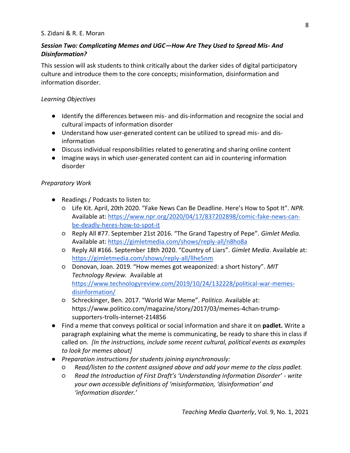## *Session Two: Complicating Memes and UGC—How Are They Used to Spread Mis- And Disinformation?*

This session will ask students to think critically about the darker sides of digital participatory culture and introduce them to the core concepts; misinformation, disinformation and information disorder.

#### *Learning Objectives*

- Identify the differences between mis- and dis-information and recognize the social and cultural impacts of information disorder
- Understand how user-generated content can be utilized to spread mis- and disinformation
- Discuss individual responsibilities related to generating and sharing online content
- Imagine ways in which user-generated content can aid in countering information disorder

#### *Preparatory Work*

- Readings / Podcasts to listen to:
	- Life Kit. April, 20th 2020. "Fake News Can Be Deadline. Here's How to Spot It". *NPR.* Available at[:](https://www.npr.org/2020/04/17/837202898/comic-fake-news-can-be-deadly-heres-how-to-spot-it) [https://www.npr.org/2020/04/17/837202898/comic-fake-news-can](https://www.npr.org/2020/04/17/837202898/comic-fake-news-can-be-deadly-heres-how-to-spot-it)[be-deadly-heres-how-to-spot-it](https://www.npr.org/2020/04/17/837202898/comic-fake-news-can-be-deadly-heres-how-to-spot-it)
	- Reply All #77. September 21st 2016. "The Grand Tapestry of Pepe". *Gimlet Media.*  Available at[:](https://gimletmedia.com/shows/reply-all/n8ho8a) <https://gimletmedia.com/shows/reply-all/n8ho8a>
	- Reply All #166. September 18th 2020. "Country of Liars". *Gimlet Media*. Available at[:](https://gimletmedia.com/shows/reply-all/llhe5nm) <https://gimletmedia.com/shows/reply-all/llhe5nm>
	- Donovan, Joan. 2019. "How memes got weaponized: a short history". *MIT Technology Review.* Available a[t](https://www.technologyreview.com/2019/10/24/132228/political-war-memes-disinformation/) [https://www.technologyreview.com/2019/10/24/132228/political-war-memes](https://www.technologyreview.com/2019/10/24/132228/political-war-memes-disinformation/)[disinformation/](https://www.technologyreview.com/2019/10/24/132228/political-war-memes-disinformation/)
	- Schreckinger, Ben. 2017. "World War Meme". *Politico.* Available at: https://www.politico.com/magazine/story/2017/03/memes-4chan-trumpsupporters-trolls-internet-214856
- Find a meme that conveys political or social information and share it on **padlet.** Write a paragraph explaining what the meme is communicating, be ready to share this in class if called on. *[In the instructions, include some recent cultural, political events as examples to look for memes about]*
- *Preparation instructions for students joining asynchronously:*
	- *Read/listen to the content assigned above and add your meme to the class padlet.*
	- *Read the Introduction of First Draft's 'Understanding Information Disorder' - write your own accessible definitions of 'misinformation, 'disinformation' and 'information disorder.'*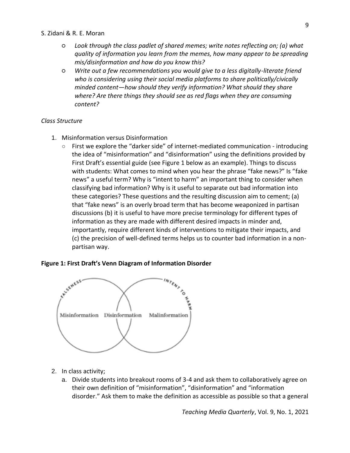- *Look through the class padlet of shared memes; write notes reflecting on; (a) what quality of information you learn from the memes, how many appear to be spreading mis/disinformation and how do you know this?*
- *Write out a few recommendations you would give to a less digitally-literate friend who is considering using their social media platforms to share politically/civically minded content—how should they verify information? What should they share where? Are there things they should see as red flags when they are consuming content?*

## *Class Structure*

- 1. Misinformation versus Disinformation
	- $\circ$  First we explore the "darker side" of internet-mediated communication introducing the idea of "misinformation" and "disinformation" using the definitions provided by First Draft's essential guide (see Figure 1 below as an example). Things to discuss with students: What comes to mind when you hear the phrase "fake news?" Is "fake news" a useful term? Why is "intent to harm" an important thing to consider when classifying bad information? Why is it useful to separate out bad information into these categories? These questions and the resulting discussion aim to cement; (a) that "fake news" is an overly broad term that has become weaponized in partisan discussions (b) it is useful to have more precise terminology for different types of information as they are made with different desired impacts in minder and, importantly, require different kinds of interventions to mitigate their impacts, and (c) the precision of well-defined terms helps us to counter bad information in a nonpartisan way.

## **Figure 1: First Draft's Venn Diagram of Information Disorder**



- 2. In class activity;
	- a. Divide students into breakout rooms of 3-4 and ask them to collaboratively agree on their own definition of "misinformation", "disinformation" and "information disorder." Ask them to make the definition as accessible as possible so that a general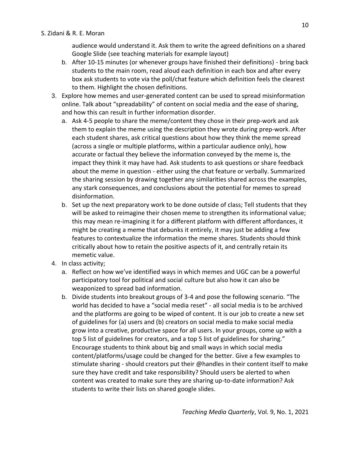audience would understand it. Ask them to write the agreed definitions on a shared Google Slide (see teaching materials for example layout)

- b. After 10-15 minutes (or whenever groups have finished their definitions) bring back students to the main room, read aloud each definition in each box and after every box ask students to vote via the poll/chat feature which definition feels the clearest to them. Highlight the chosen definitions.
- 3. Explore how memes and user-generated content can be used to spread misinformation online. Talk about "spreadability" of content on social media and the ease of sharing, and how this can result in further information disorder.
	- a. Ask 4-5 people to share the meme/content they chose in their prep-work and ask them to explain the meme using the description they wrote during prep-work. After each student shares, ask critical questions about how they think the meme spread (across a single or multiple platforms, within a particular audience only), how accurate or factual they believe the information conveyed by the meme is, the impact they think it may have had. Ask students to ask questions or share feedback about the meme in question - either using the chat feature or verbally. Summarized the sharing session by drawing together any similarities shared across the examples, any stark consequences, and conclusions about the potential for memes to spread disinformation.
	- b. Set up the next preparatory work to be done outside of class; Tell students that they will be asked to reimagine their chosen meme to strengthen its informational value; this may mean re-imagining it for a different platform with different affordances, it might be creating a meme that debunks it entirely, it may just be adding a few features to contextualize the information the meme shares. Students should think critically about how to retain the positive aspects of it, and centrally retain its memetic value.
- 4. In class activity;
	- a. Reflect on how we've identified ways in which memes and UGC can be a powerful participatory tool for political and social culture but also how it can also be weaponized to spread bad information.
	- b. Divide students into breakout groups of 3-4 and pose the following scenario. "The world has decided to have a "social media reset" - all social media is to be archived and the platforms are going to be wiped of content. It is our job to create a new set of guidelines for (a) users and (b) creators on social media to make social media grow into a creative, productive space for all users. In your groups, come up with a top 5 list of guidelines for creators, and a top 5 list of guidelines for sharing." Encourage students to think about big and small ways in which social media content/platforms/usage could be changed for the better. Give a few examples to stimulate sharing - should creators put their @handles in their content itself to make sure they have credit and take responsibility? Should users be alerted to when content was created to make sure they are sharing up-to-date information? Ask students to write their lists on shared google slides.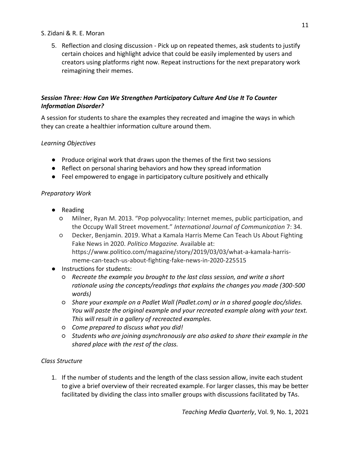5. Reflection and closing discussion - Pick up on repeated themes, ask students to justify certain choices and highlight advice that could be easily implemented by users and creators using platforms right now. Repeat instructions for the next preparatory work reimagining their memes.

## *Session Three: How Can We Strengthen Participatory Culture And Use It To Counter Information Disorder?*

A session for students to share the examples they recreated and imagine the ways in which they can create a healthier information culture around them.

## *Learning Objectives*

- Produce original work that draws upon the themes of the first two sessions
- Reflect on personal sharing behaviors and how they spread information
- Feel empowered to engage in participatory culture positively and ethically

## *Preparatory Work*

- Reading
	- Milner, Ryan M. 2013. "Pop polyvocality: Internet memes, public participation, and the Occupy Wall Street movement." *International Journal of Communication* 7: 34.
	- Decker, Benjamin. 2019. What a Kamala Harris Meme Can Teach Us About Fighting Fake News in 2020. *Politico Magazine.* Available at: https://www.politico.com/magazine/story/2019/03/03/what-a-kamala-harrismeme-can-teach-us-about-fighting-fake-news-in-2020-225515
- Instructions for students:
	- *Recreate the example you brought to the last class session, and write a short rationale using the concepts/readings that explains the changes you made (300-500 words)*
	- *Share your example on a Padlet Wall (Padlet.com) or in a shared google doc/slides. You will paste the original example and your recreated example along with your text. This will result in a gallery of recreacted examples.*
	- *Come prepared to discuss what you did!*
	- *Students who are joining asynchronously are also asked to share their example in the shared place with the rest of the class.*

## *Class Structure*

1. If the number of students and the length of the class session allow, invite each student to give a brief overview of their recreated example. For larger classes, this may be better facilitated by dividing the class into smaller groups with discussions facilitated by TAs.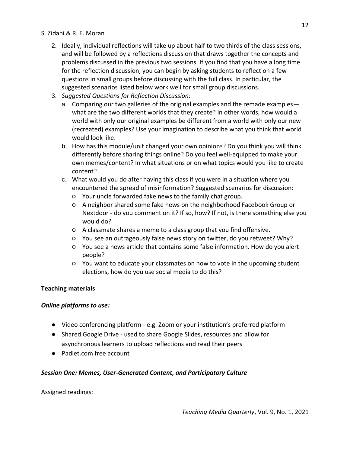- 2. Ideally, individual reflections will take up about half to two thirds of the class sessions, and will be followed by a reflections discussion that draws together the concepts and problems discussed in the previous two sessions. If you find that you have a long time for the reflection discussion, you can begin by asking students to reflect on a few questions in small groups before discussing with the full class. In particular, the suggested scenarios listed below work well for small group discussions.
- 3. *Suggested Questions for Reflection Discussion:*
	- a. Comparing our two galleries of the original examples and the remade examples what are the two different worlds that they create? In other words, how would a world with only our original examples be different from a world with only our new (recreated) examples? Use your imagination to describe what you think that world would look like.
	- b. How has this module/unit changed your own opinions? Do you think you will think differently before sharing things online? Do you feel well-equipped to make your own memes/content? In what situations or on what topics would you like to create content?
	- c. What would you do after having this class if you were in a situation where you encountered the spread of misinformation? Suggested scenarios for discussion:
		- Your uncle forwarded fake news to the family chat group.
		- A neighbor shared some fake news on the neighborhood Facebook Group or Nextdoor - do you comment on it? If so, how? If not, is there something else you would do?
		- A classmate shares a meme to a class group that you find offensive.
		- You see an outrageously false news story on twitter, do you retweet? Why?
		- You see a news article that contains some false information. How do you alert people?
		- You want to educate your classmates on how to vote in the upcoming student elections, how do you use social media to do this?

## **Teaching materials**

## *Online platforms to use:*

- Video conferencing platform e.g. Zoom or your institution's preferred platform
- Shared Google Drive used to share Google Slides, resources and allow for asynchronous learners to upload reflections and read their peers
- Padlet.com free account

## *Session One: Memes, User-Generated Content, and Participatory Culture*

Assigned readings: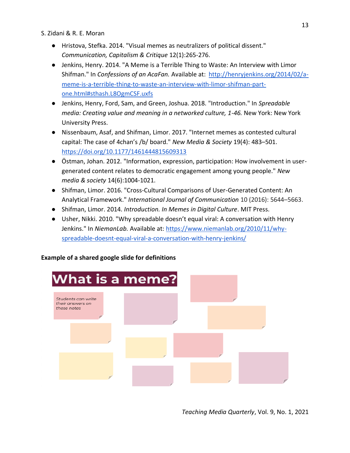- S. Zidani & R. E. Moran
	- Hristova, Stefka. 2014. "Visual memes as neutralizers of political dissent." *Communication, Capitalism & Critique* 12(1):265-276.
	- Jenkins, Henry. 2014. "A Meme is a Terrible Thing to Waste: An Interview with Limor Shifman." In *Confessions of an AcaFan.* Available at: [http://henryjenkins.org/2014/02/a](http://henryjenkins.org/2014/02/a-meme-is-a-terrible-thing-to-waste-an-interview-with-limor-shifman-part-one.html#sthash.L8OgmCSF.uxfs)[meme-is-a-terrible-thing-to-waste-an-interview-with-limor-shifman-part](http://henryjenkins.org/2014/02/a-meme-is-a-terrible-thing-to-waste-an-interview-with-limor-shifman-part-one.html#sthash.L8OgmCSF.uxfs)[one.html#sthash.L8OgmCSF.uxfs](http://henryjenkins.org/2014/02/a-meme-is-a-terrible-thing-to-waste-an-interview-with-limor-shifman-part-one.html#sthash.L8OgmCSF.uxfs)
	- Jenkins, Henry, Ford, Sam, and Green, Joshua. 2018. "Introduction." In *Spreadable media: Creating value and meaning in a networked culture, 1-46.* New York: New York University Press.
	- Nissenbaum, Asaf, and Shifman, Limor. 2017. "Internet memes as contested cultural capital: The case of 4chan's /b/ board." *New Media & Society* 19(4): 483–501[.](https://doi.org/10.1177/1461444815609313) <https://doi.org/10.1177/1461444815609313>
	- Östman, Johan. 2012. "Information, expression, participation: How involvement in usergenerated content relates to democratic engagement among young people." *New media & society* 14(6):1004-1021.
	- Shifman, Limor. 2016. "Cross-Cultural Comparisons of User-Generated Content: An Analytical Framework." *International Journal of Communication* 10 (2016): 5644–5663.
	- Shifman, Limor. 2014. *Introduction. In Memes in Digital Culture*. MIT Press.
	- Usher, Nikki. 2010. "Why spreadable doesn't equal viral: A conversation with Henry Jenkins." In *NiemanLab.* Available at[:](https://www.niemanlab.org/2010/11/why-spreadable-doesnt-equal-viral-a-conversation-with-henry-jenkins/) [https://www.niemanlab.org/2010/11/why](https://www.niemanlab.org/2010/11/why-spreadable-doesnt-equal-viral-a-conversation-with-henry-jenkins/)[spreadable-doesnt-equal-viral-a-conversation-with-henry-jenkins/](https://www.niemanlab.org/2010/11/why-spreadable-doesnt-equal-viral-a-conversation-with-henry-jenkins/)

## **Example of a shared google slide for definitions**

| <b>What is a meme?</b>                                |  |  |  |  |
|-------------------------------------------------------|--|--|--|--|
| Students can write<br>their answers on<br>these notes |  |  |  |  |
|                                                       |  |  |  |  |
|                                                       |  |  |  |  |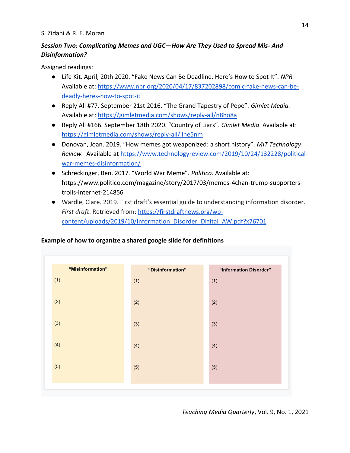# *Session Two: Complicating Memes and UGC—How Are They Used to Spread Mis- And Disinformation?*

Assigned readings:

- Life Kit. April, 20th 2020. "Fake News Can Be Deadline. Here's How to Spot It". *NPR.* Available at[:](https://www.npr.org/2020/04/17/837202898/comic-fake-news-can-be-deadly-heres-how-to-spot-it) [https://www.npr.org/2020/04/17/837202898/comic-fake-news-can-be](https://www.npr.org/2020/04/17/837202898/comic-fake-news-can-be-deadly-heres-how-to-spot-it)[deadly-heres-how-to-spot-it](https://www.npr.org/2020/04/17/837202898/comic-fake-news-can-be-deadly-heres-how-to-spot-it)
- Reply All #77. September 21st 2016. "The Grand Tapestry of Pepe". *Gimlet Media.*  Available at[:](https://gimletmedia.com/shows/reply-all/n8ho8a) <https://gimletmedia.com/shows/reply-all/n8ho8a>
- Reply All #166. September 18th 2020. "Country of Liars". *Gimlet Media*. Available at[:](https://gimletmedia.com/shows/reply-all/llhe5nm) <https://gimletmedia.com/shows/reply-all/llhe5nm>
- Donovan, Joan. 2019. "How memes got weaponized: a short history". *MIT Technology Review.* Available at [https://www.technologyreview.com/2019/10/24/132228/political](https://www.technologyreview.com/2019/10/24/132228/political-war-memes-disinformation/)[war-memes-disinformation/](https://www.technologyreview.com/2019/10/24/132228/political-war-memes-disinformation/)
- Schreckinger, Ben. 2017. "World War Meme". *Politico.* Available at: https://www.politico.com/magazine/story/2017/03/memes-4chan-trump-supporterstrolls-internet-214856
- Wardle, Clare. 2019. First draft's essential guide to understanding information disorder. *First draft*. Retrieved from[:](https://firstdraftnews.org/wp-content/uploads/2019/10/Information_Disorder_Digital_AW.pdf?x76701) [https://firstdraftnews.org/wp](https://firstdraftnews.org/wp-content/uploads/2019/10/Information_Disorder_Digital_AW.pdf?x76701)[content/uploads/2019/10/Information\\_Disorder\\_Digital\\_AW.pdf?x76701](https://firstdraftnews.org/wp-content/uploads/2019/10/Information_Disorder_Digital_AW.pdf?x76701)

# **Example of how to organize a shared google slide for definitions**

| "Misinformation" | "Disinformation" | "Information Disorder" |  |
|------------------|------------------|------------------------|--|
| (1)              | (1)              | (1)                    |  |
| (2)              | (2)              | (2)                    |  |
| (3)              | (3)              | (3)                    |  |
| (4)              | (4)              | (4)                    |  |
| (5)              | (5)              | (5)                    |  |
|                  |                  |                        |  |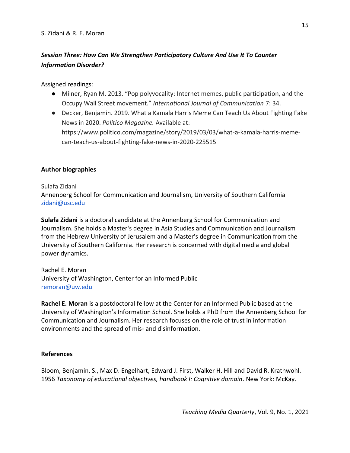# *Session Three: How Can We Strengthen Participatory Culture And Use It To Counter Information Disorder?*

Assigned readings:

- Milner, Ryan M. 2013. "Pop polyvocality: Internet memes, public participation, and the Occupy Wall Street movement." *International Journal of Communication* 7: 34.
- Decker, Benjamin. 2019. What a Kamala Harris Meme Can Teach Us About Fighting Fake News in 2020. *Politico Magazine.* Available at: https://www.politico.com/magazine/story/2019/03/03/what-a-kamala-harris-memecan-teach-us-about-fighting-fake-news-in-2020-225515

## **Author biographies**

## Sulafa Zidani

Annenberg School for Communication and Journalism, University of Southern California zidani@usc.edu

**Sulafa Zidani** is a doctoral candidate at the Annenberg School for Communication and Journalism. She holds a Master's degree in Asia Studies and Communication and Journalism from the Hebrew University of Jerusalem and a Master's degree in Communication from the University of Southern California. Her research is concerned with digital media and global power dynamics.

Rachel E. Moran University of Washington, Center for an Informed Public remoran@uw.edu

**Rachel E. Moran** is a postdoctoral fellow at the Center for an Informed Public based at the University of Washington's Information School. She holds a PhD from the Annenberg School for Communication and Journalism. Her research focuses on the role of trust in information environments and the spread of mis- and disinformation.

## **References**

Bloom, Benjamin. S., Max D. Engelhart, Edward J. First, Walker H. Hill and David R. Krathwohl. 1956 *Taxonomy of educational objectives, handbook I: Cognitive domain*. New York: McKay.